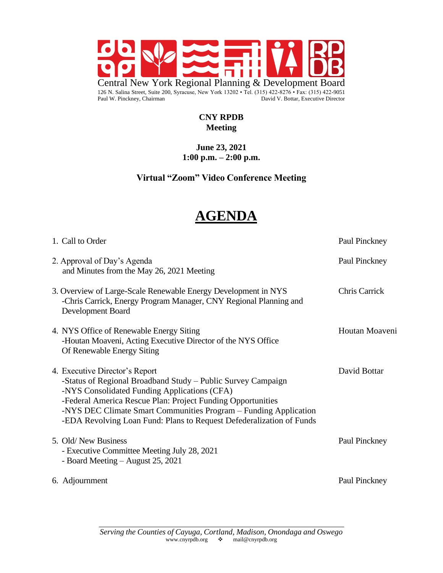

#### **CNY RPDB Meeting**

#### **June 23, 2021 1:00 p.m. – 2:00 p.m.**

## **Virtual "Zoom" Video Conference Meeting**

# **AGENDA**

| 1. Call to Order                                                                                                                                                                                                                                                                                                                                          | Paul Pinckney        |
|-----------------------------------------------------------------------------------------------------------------------------------------------------------------------------------------------------------------------------------------------------------------------------------------------------------------------------------------------------------|----------------------|
| 2. Approval of Day's Agenda<br>and Minutes from the May 26, 2021 Meeting                                                                                                                                                                                                                                                                                  | Paul Pinckney        |
| 3. Overview of Large-Scale Renewable Energy Development in NYS<br>-Chris Carrick, Energy Program Manager, CNY Regional Planning and<br>Development Board                                                                                                                                                                                                  | <b>Chris Carrick</b> |
| 4. NYS Office of Renewable Energy Siting<br>-Houtan Moaveni, Acting Executive Director of the NYS Office<br>Of Renewable Energy Siting                                                                                                                                                                                                                    | Houtan Moaveni       |
| 4. Executive Director's Report<br>-Status of Regional Broadband Study – Public Survey Campaign<br>-NYS Consolidated Funding Applications (CFA)<br>-Federal America Rescue Plan: Project Funding Opportunities<br>-NYS DEC Climate Smart Communities Program – Funding Application<br>-EDA Revolving Loan Fund: Plans to Request Defederalization of Funds | David Bottar         |
| 5. Old/New Business<br>- Executive Committee Meeting July 28, 2021<br>- Board Meeting – August 25, 2021                                                                                                                                                                                                                                                   | Paul Pinckney        |
| 6. Adjournment                                                                                                                                                                                                                                                                                                                                            | Paul Pinckney        |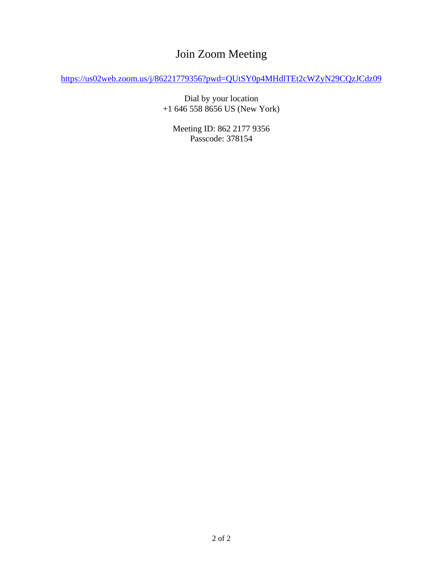# Join Zoom Meeting

<https://us02web.zoom.us/j/86221779356?pwd=QUtSY0p4MHdlTEt2cWZyN29CQzJCdz09>

Dial by your location +1 646 558 8656 US (New York)

Meeting ID: 862 2177 9356 Passcode: 378154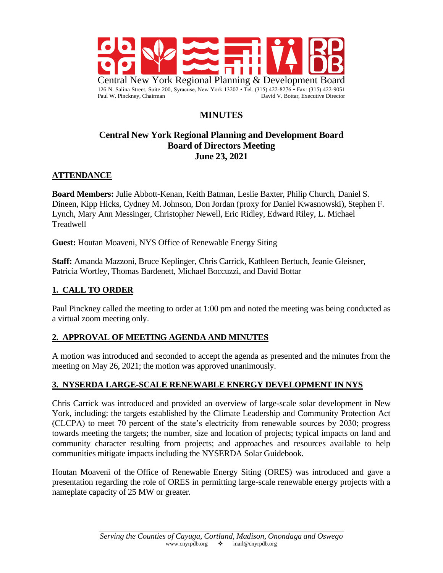

# **MINUTES**

#### **Central New York Regional Planning and Development Board Board of Directors Meeting June 23, 2021**

#### **ATTENDANCE**

**Board Members:** Julie Abbott-Kenan, Keith Batman, Leslie Baxter, Philip Church, Daniel S. Dineen, Kipp Hicks, Cydney M. Johnson, Don Jordan (proxy for Daniel Kwasnowski), Stephen F. Lynch, Mary Ann Messinger, Christopher Newell, Eric Ridley, Edward Riley, L. Michael Treadwell

**Guest:** Houtan Moaveni, NYS Office of Renewable Energy Siting

**Staff:** Amanda Mazzoni, Bruce Keplinger, Chris Carrick, Kathleen Bertuch, Jeanie Gleisner, Patricia Wortley, Thomas Bardenett, Michael Boccuzzi, and David Bottar

#### **1. CALL TO ORDER**

Paul Pinckney called the meeting to order at 1:00 pm and noted the meeting was being conducted as a virtual zoom meeting only.

#### **2. APPROVAL OF MEETING AGENDA AND MINUTES**

A motion was introduced and seconded to accept the agenda as presented and the minutes from the meeting on May 26, 2021; the motion was approved unanimously.

#### **3. NYSERDA LARGE-SCALE RENEWABLE ENERGY DEVELOPMENT IN NYS**

Chris Carrick was introduced and provided an overview of large-scale solar development in New York, including: the targets established by the Climate Leadership and Community Protection Act (CLCPA) to meet 70 percent of the state's electricity from renewable sources by 2030; progress towards meeting the targets; the number, size and location of projects; typical impacts on land and community character resulting from projects; and approaches and resources available to help communities mitigate impacts including the NYSERDA Solar Guidebook.

Houtan Moaveni of the Office of Renewable Energy Siting (ORES) was introduced and gave a presentation regarding the role of ORES in permitting large-scale renewable energy projects with a nameplate capacity of 25 MW or greater.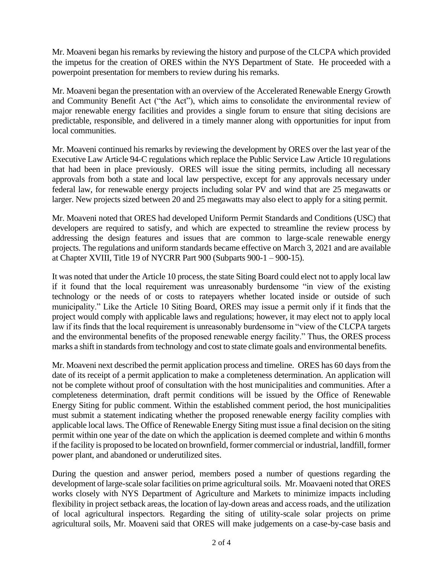Mr. Moaveni began his remarks by reviewing the history and purpose of the CLCPA which provided the impetus for the creation of ORES within the NYS Department of State. He proceeded with a powerpoint presentation for members to review during his remarks.

Mr. Moaveni began the presentation with an overview of the Accelerated Renewable Energy Growth and Community Benefit Act ("the Act"), which aims to consolidate the environmental review of major renewable energy facilities and provides a single forum to ensure that siting decisions are predictable, responsible, and delivered in a timely manner along with opportunities for input from local communities.

Mr. Moaveni continued his remarks by reviewing the development by ORES over the last year of the Executive Law Article 94-C regulations which replace the Public Service Law Article 10 regulations that had been in place previously. ORES will issue the siting permits, including all necessary approvals from both a state and local law perspective, except for any approvals necessary under federal law, for renewable energy projects including solar PV and wind that are 25 megawatts or larger. New projects sized between 20 and 25 megawatts may also elect to apply for a siting permit.

Mr. Moaveni noted that ORES had developed Uniform Permit Standards and Conditions (USC) that developers are required to satisfy, and which are expected to streamline the review process by addressing the design features and issues that are common to large-scale renewable energy projects. The regulations and uniform standards became effective on March 3, 2021 and are available at [Chapter XVIII, Title 19 of NYCRR Part 900 \(Subparts 900-1 –](https://ores.ny.gov/chapter-xviii-title-19-nycrr-part-900-subparts-900-1-900-15) 900-15).

It was noted that under the Article 10 process, the state Siting Board could elect not to apply local law if it found that the local requirement was unreasonably burdensome "in view of the existing technology or the needs of or costs to ratepayers whether located inside or outside of such municipality." Like the Article 10 Siting Board, ORES may issue a permit only if it finds that the project would comply with applicable laws and regulations; however, it may elect not to apply local law if its finds that the local requirement is unreasonably burdensome in "view of the CLCPA targets and the environmental benefits of the proposed renewable energy facility." Thus, the ORES process marks a shift in standards from technology and cost to state climate goals and environmental benefits.

Mr. Moaveni next described the permit application process and timeline. ORES has 60 days from the date of its receipt of a permit application to make a completeness determination. An application will not be complete without proof of consultation with the host municipalities and communities. After a completeness determination, draft permit conditions will be issued by the Office of Renewable Energy Siting for public comment. Within the established comment period, the host municipalities must submit a statement indicating whether the proposed renewable energy facility complies with applicable local laws. The Office of Renewable Energy Siting must issue a final decision on the siting permit within one year of the date on which the application is deemed complete and within 6 months if the facility is proposed to be located on brownfield, former commercial or industrial, landfill, former power plant, and abandoned or underutilized sites.

During the question and answer period, members posed a number of questions regarding the development of large-scale solar facilities on prime agricultural soils. Mr. Moavaeni noted that ORES works closely with NYS Department of Agriculture and Markets to minimize impacts including flexibility in project setback areas, the location of lay-down areas and access roads, and the utilization of local agricultural inspectors. Regarding the siting of utility-scale solar projects on prime agricultural soils, Mr. Moaveni said that ORES will make judgements on a case-by-case basis and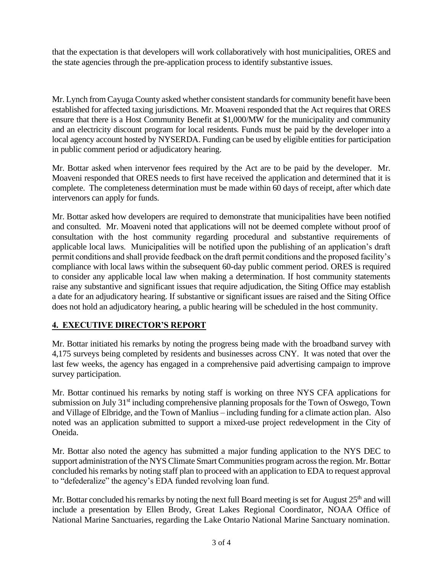that the expectation is that developers will work collaboratively with host municipalities, ORES and the state agencies through the pre-application process to identify substantive issues.

Mr. Lynch from Cayuga County asked whether consistent standards for community benefit have been established for affected taxing jurisdictions. Mr. Moaveni responded that the Act requires that ORES ensure that there is a Host Community Benefit at \$1,000/MW for the municipality and community and an electricity discount program for local residents. Funds must be paid by the developer into a local agency account hosted by NYSERDA. Funding can be used by eligible entities for participation in public comment period or adjudicatory hearing.

Mr. Bottar asked when intervenor fees required by the Act are to be paid by the developer. Mr. Moaveni responded that ORES needs to first have received the application and determined that it is complete. The completeness determination must be made within 60 days of receipt, after which date intervenors can apply for funds.

Mr. Bottar asked how developers are required to demonstrate that municipalities have been notified and consulted. Mr. Moaveni noted that applications will not be deemed complete without proof of consultation with the host community regarding procedural and substantive requirements of applicable local laws. Municipalities will be notified upon the publishing of an application's draft permit conditions and shall provide feedback on the draft permit conditions and the proposed facility's compliance with local laws within the subsequent 60-day public comment period. ORES is required to consider any applicable local law when making a determination. If host community statements raise any substantive and significant issues that require adjudication, the Siting Office may establish a date for an adjudicatory hearing. If substantive or significant issues are raised and the Siting Office does not hold an adjudicatory hearing, a public hearing will be scheduled in the host community.

#### **4. EXECUTIVE DIRECTOR'S REPORT**

Mr. Bottar initiated his remarks by noting the progress being made with the broadband survey with 4,175 surveys being completed by residents and businesses across CNY. It was noted that over the last few weeks, the agency has engaged in a comprehensive paid advertising campaign to improve survey participation.

Mr. Bottar continued his remarks by noting staff is working on three NYS CFA applications for submission on July 31<sup>st</sup> including comprehensive planning proposals for the Town of Oswego, Town and Village of Elbridge, and the Town of Manlius – including funding for a climate action plan. Also noted was an application submitted to support a mixed-use project redevelopment in the City of Oneida.

Mr. Bottar also noted the agency has submitted a major funding application to the NYS DEC to support administration of the NYS Climate Smart Communities program across the region. Mr. Bottar concluded his remarks by noting staff plan to proceed with an application to EDA to request approval to "defederalize" the agency's EDA funded revolving loan fund.

Mr. Bottar concluded his remarks by noting the next full Board meeting is set for August  $25<sup>th</sup>$  and will include a presentation by Ellen Brody, Great Lakes Regional Coordinator, NOAA Office of National Marine Sanctuaries, regarding the Lake Ontario National Marine Sanctuary nomination.